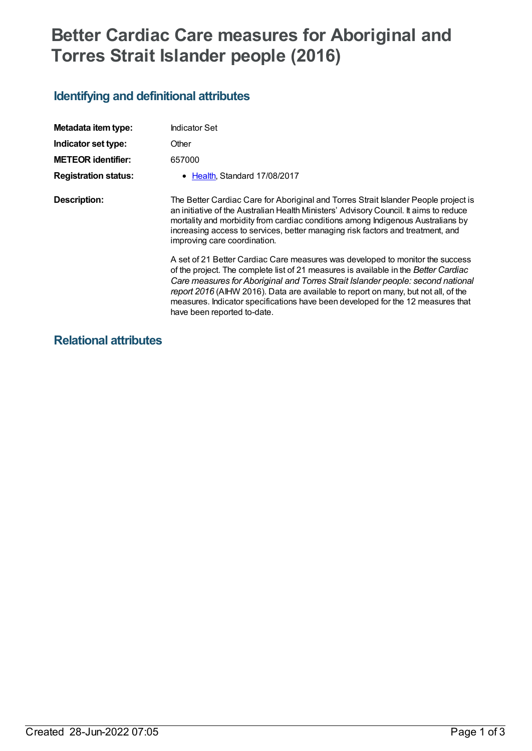# **Better Cardiac Care measures for Aboriginal and Torres Strait Islander people (2016)**

## **Identifying and definitional attributes**

| Metadata item type:         | <b>Indicator Set</b>                                                                                                                                                                                                                                                                                                                                                                                                                                            |
|-----------------------------|-----------------------------------------------------------------------------------------------------------------------------------------------------------------------------------------------------------------------------------------------------------------------------------------------------------------------------------------------------------------------------------------------------------------------------------------------------------------|
| Indicator set type:         | Other                                                                                                                                                                                                                                                                                                                                                                                                                                                           |
| <b>METEOR identifier:</b>   | 657000                                                                                                                                                                                                                                                                                                                                                                                                                                                          |
| <b>Registration status:</b> | • Health, Standard 17/08/2017                                                                                                                                                                                                                                                                                                                                                                                                                                   |
| <b>Description:</b>         | The Better Cardiac Care for Aboriginal and Torres Strait Islander People project is<br>an initiative of the Australian Health Ministers' Advisory Council. It aims to reduce<br>mortality and morbidity from cardiac conditions among Indigenous Australians by<br>increasing access to services, better managing risk factors and treatment, and<br>improving care coordination.                                                                               |
|                             | A set of 21 Better Cardiac Care measures was developed to monitor the success<br>of the project. The complete list of 21 measures is available in the Better Cardiac<br>Care measures for Aboriginal and Torres Strait Islander people: second national<br>report 2016 (AIHW 2016). Data are available to report on many, but not all, of the<br>measures. Indicator specifications have been developed for the 12 measures that<br>have been reported to-date. |

## **Relational attributes**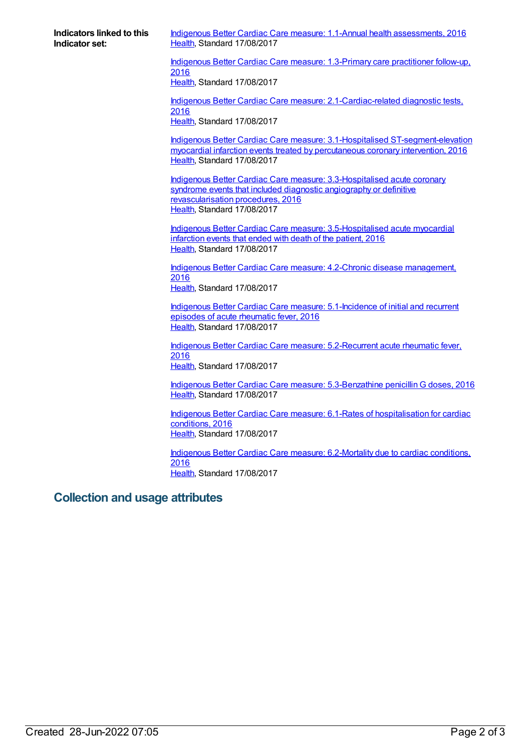**Indicators linked to this Indicator set:**

Indigenous Better Cardiac Care measure: 1.1-Annual health [assessments,](https://meteor.aihw.gov.au/content/657009) 2016 [Health](https://meteor.aihw.gov.au/RegistrationAuthority/12), Standard 17/08/2017

Indigenous Better Cardiac Care measure: [1.3-Primary](https://meteor.aihw.gov.au/content/657052) care practitioner follow-up, 2016 [Health](https://meteor.aihw.gov.au/RegistrationAuthority/12), Standard 17/08/2017

Indigenous Better Cardiac Care measure: [2.1-Cardiac-related](https://meteor.aihw.gov.au/content/657011) diagnostic tests, 2016

[Health](https://meteor.aihw.gov.au/RegistrationAuthority/12), Standard 17/08/2017

Indigenous Better Cardiac Care measure: 3.1-Hospitalised [ST-segment-elevation](https://meteor.aihw.gov.au/content/657003) myocardial infarction events treated by percutaneous coronary intervention, 2016 [Health](https://meteor.aihw.gov.au/RegistrationAuthority/12), Standard 17/08/2017

Indigenous Better Cardiac Care measure: [3.3-Hospitalised](https://meteor.aihw.gov.au/content/657007) acute coronary syndrome events that included diagnostic angiography or definitive revascularisation procedures, 2016 [Health](https://meteor.aihw.gov.au/RegistrationAuthority/12), Standard 17/08/2017

Indigenous Better Cardiac Care measure: [3.5-Hospitalised](https://meteor.aihw.gov.au/content/657036) acute myocardial infarction events that ended with death of the patient, 2016 [Health](https://meteor.aihw.gov.au/RegistrationAuthority/12), Standard 17/08/2017

Indigenous Better Cardiac Care measure: 4.2-Chronic disease [management,](https://meteor.aihw.gov.au/content/657056) 2016 [Health](https://meteor.aihw.gov.au/RegistrationAuthority/12), Standard 17/08/2017

Indigenous Better Cardiac Care measure: [5.1-Incidence](https://meteor.aihw.gov.au/content/657058) of initial and recurrent episodes of acute rheumatic fever, 2016 [Health](https://meteor.aihw.gov.au/RegistrationAuthority/12), Standard 17/08/2017

Indigenous Better Cardiac Care measure: [5.2-Recurrent](https://meteor.aihw.gov.au/content/657067) acute rheumatic fever, 2016 [Health](https://meteor.aihw.gov.au/RegistrationAuthority/12), Standard 17/08/2017

Indigenous Better Cardiac Care measure: [5.3-Benzathine](https://meteor.aihw.gov.au/content/657083) penicillin G doses, 2016 [Health](https://meteor.aihw.gov.au/RegistrationAuthority/12), Standard 17/08/2017

Indigenous Better Cardiac Care measure: 6.1-Rates of [hospitalisation](https://meteor.aihw.gov.au/content/657092) for cardiac conditions, 2016 [Health](https://meteor.aihw.gov.au/RegistrationAuthority/12), Standard 17/08/2017

Indigenous Better Cardiac Care measure: [6.2-Mortality](https://meteor.aihw.gov.au/content/657115) due to cardiac conditions, 2016 [Health](https://meteor.aihw.gov.au/RegistrationAuthority/12), Standard 17/08/2017

### **Collection and usage attributes**